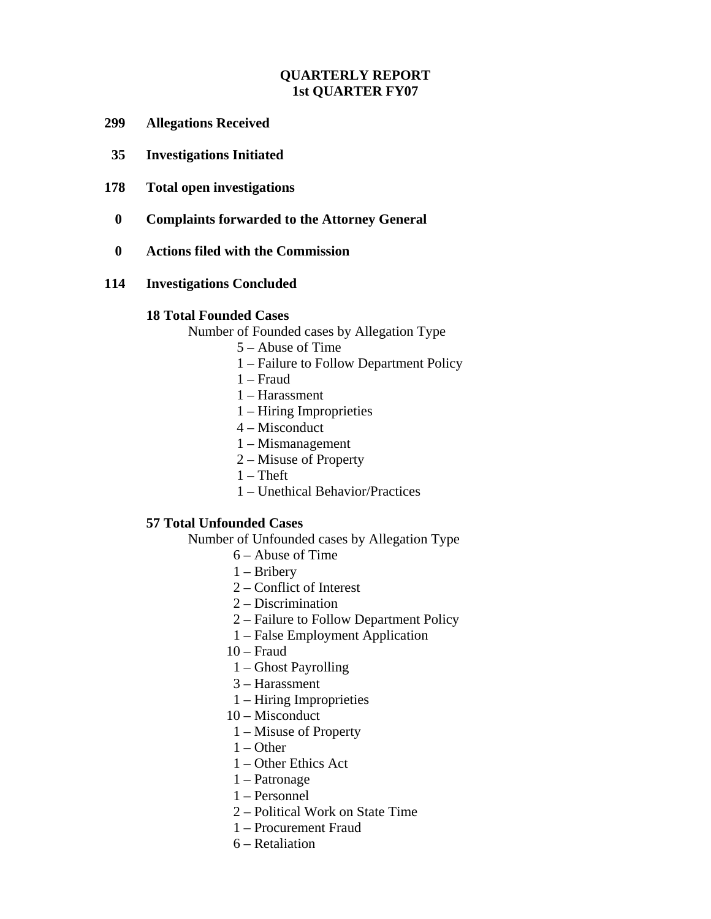# **QUARTERLY REPORT 1st QUARTER FY07**

- **299 Allegations Received**
- **35 Investigations Initiated**
- **178 Total open investigations** 
	- **0 Complaints forwarded to the Attorney General**
	- **0 Actions filed with the Commission**
- **114 Investigations Concluded**

#### **18 Total Founded Cases**

Number of Founded cases by Allegation Type

- 5 Abuse of Time
- 1 Failure to Follow Department Policy
- 1 Fraud
- 1 Harassment
- 1 Hiring Improprieties
- 4 Misconduct
- 1 Mismanagement
- 2 Misuse of Property
- $1$  Theft
- 1 Unethical Behavior/Practices

### **57 Total Unfounded Cases**

Number of Unfounded cases by Allegation Type

- 6 Abuse of Time
- 1 Bribery
- 2 Conflict of Interest
- 2 Discrimination
- 2 Failure to Follow Department Policy
- 1 False Employment Application
- 10 Fraud
	- 1 Ghost Payrolling
- 3 Harassment
- 1 Hiring Improprieties
- 10 Misconduct
- 1 Misuse of Property
- $1 Other$
- 1 Other Ethics Act
- 1 Patronage
- 1 Personnel
- 2 Political Work on State Time
- 1 Procurement Fraud
- 6 Retaliation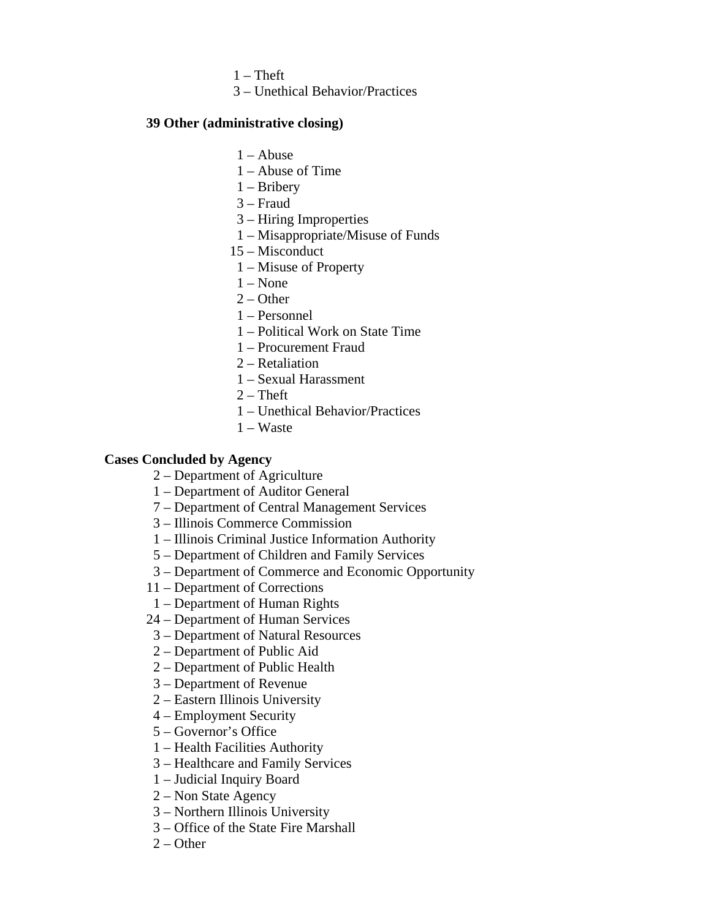- $1$  Theft
- 3 Unethical Behavior/Practices

## **39 Other (administrative closing)**

- $1 -$ Abuse
- 1 Abuse of Time
- 1 Bribery
- 3 Fraud
- 3 Hiring Improperties
- 1 Misappropriate/Misuse of Funds
- 15 Misconduct
- 1 Misuse of Property
- $1 None$
- $2 Other$
- 1 Personnel
- 1 Political Work on State Time
- 1 Procurement Fraud
- 2 Retaliation
- 1 Sexual Harassment
- $2$  Theft
- 1 Unethical Behavior/Practices
- 1 Waste

### **Cases Concluded by Agency**

- 2 Department of Agriculture
- 1 Department of Auditor General
- 7 Department of Central Management Services
- 3 Illinois Commerce Commission
- 1 Illinois Criminal Justice Information Authority
- 5 Department of Children and Family Services
- 3 Department of Commerce and Economic Opportunity
- 11 Department of Corrections
- 1 Department of Human Rights
- 24 Department of Human Services
- 3 Department of Natural Resources
- 2 Department of Public Aid
- 2 Department of Public Health
- 3 Department of Revenue
- 2 Eastern Illinois University
- 4 Employment Security
- 5 Governor's Office
- 1 Health Facilities Authority
- 3 Healthcare and Family Services
- 1 Judicial Inquiry Board
- 2 Non State Agency
- 3 Northern Illinois University
- 3 Office of the State Fire Marshall
- 2 Other